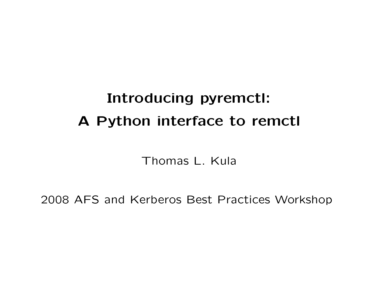# Introducing pyremctl: A Python interface to remctl

Thomas L. Kula

2008 AFS and Kerberos Best Practices Workshop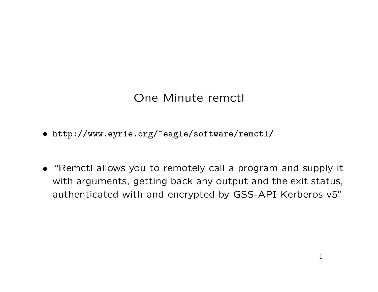## One Minute remctl

- http://www.eyrie.org/~eagle/software/remctl/
- "Remctl allows you to remotely call a program and supply it with arguments, getting back any output and the exit status, authenticated with and encrypted by GSS-API Kerberos v5"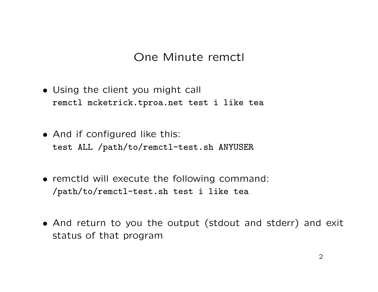#### One Minute remctl

- Using the client you might call remctl mcketrick.tproa.net test i like tea
- And if configured like this: test ALL /path/to/remctl-test.sh ANYUSER
- remctld will execute the following command: /path/to/remctl-test.sh test i like tea
- And return to you the output (stdout and stderr) and exit status of that program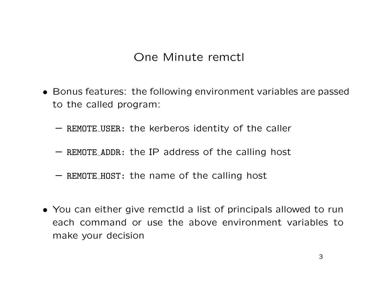#### One Minute remctl

- Bonus features: the following environment variables are passed to the called program:
	- REMOTE USER: the kerberos identity of the caller
	- REMOTE ADDR: the IP address of the calling host
	- REMOTE HOST: the name of the calling host
- You can either give remctld a list of principals allowed to run each command or use the above environment variables to make your decision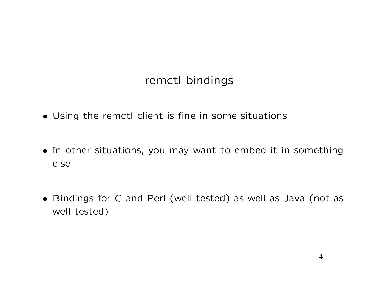### remctl bindings

- Using the remctl client is fine in some situations
- In other situations, you may want to embed it in something else
- Bindings for C and Perl (well tested) as well as Java (not as well tested)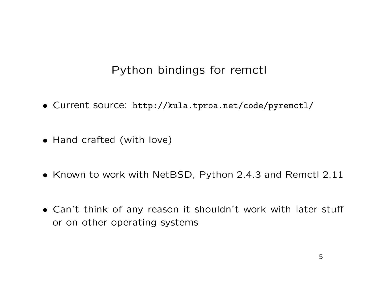## Python bindings for remctl

- Current source: http://kula.tproa.net/code/pyremctl/
- Hand crafted (with love)
- Known to work with NetBSD, Python 2.4.3 and Remctl 2.11
- Can't think of any reason it shouldn't work with later stuff or on other operating systems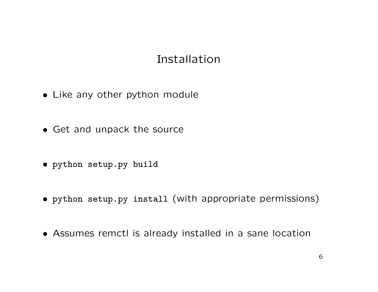#### Installation

- Like any other python module
- Get and unpack the source
- python setup.py build
- python setup.py install (with appropriate permissions)
- Assumes remctl is already installed in a sane location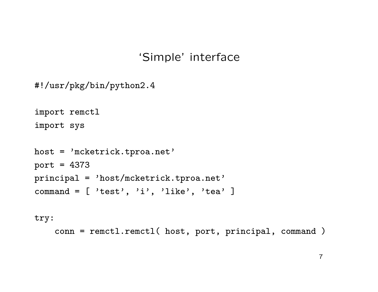#### 'Simple' interface

```
#!/usr/pkg/bin/python2.4
```

```
import remctl
import sys
```

```
host = 'mcketrick.tproa.net'
port = 4373
principal = 'host/mcketrick.tproa.net'
command = [\cdot \text{test}, \cdot \text{ii'}, \cdot \text{like'}, \cdot \text{tea'}]
```

```
try:
```

```
conn = remctl.remctl( host, port, principal, command )
```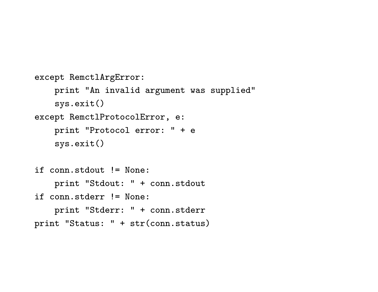```
except RemctlArgError:
    print "An invalid argument was supplied"
    sys.exit()
except RemctlProtocolError, e:
    print "Protocol error: " + e
    sys.exit()
```

```
if conn.stdout != None:
    print "Stdout: " + conn.stdout
if conn.stderr != None:
    print "Stderr: " + conn.stderr
print "Status: " + str(conn.status)
```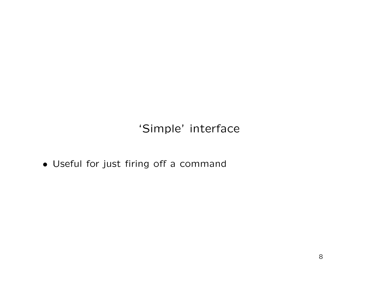'Simple' interface

• Useful for just firing off a command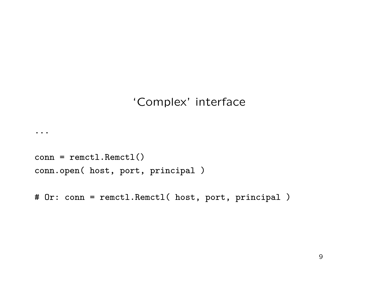```
conn = remctl.Remctl()
conn.open( host, port, principal )
```
...

```
# Or: conn = remctl.Remctl( host, port, principal )
```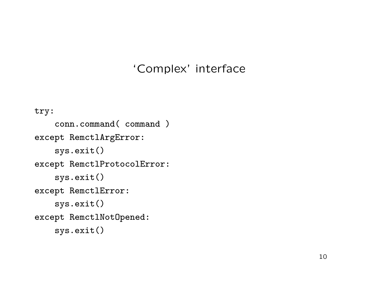```
try:
    conn.command( command )
except RemctlArgError:
    sys.exit()
except RemctlProtocolError:
    sys.exit()
except RemctlError:
    sys.exit()
except RemctlNotOpened:
    sys.exit()
```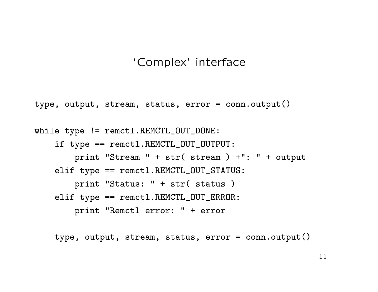```
type, output, stream, status, error = conn.output()
```

```
while type != remctl.REMCTL_OUT_DONE:
    if type == remctl.REMCTL_OUT_OUTPUT:
        print "Stream " + str( stream ) +": " + output
    elif type == remctl.REMCTL_OUT_STATUS:
        print "Status: " + str( status )
    elif type == remctl.REMCTL_OUT_ERROR:
        print "Remctl error: " + error
```
type, output, stream, status, error = conn.output()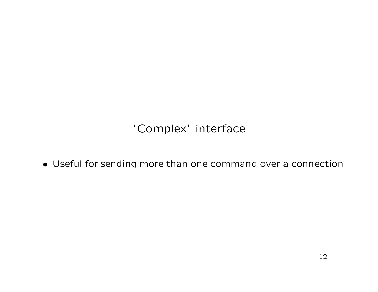• Useful for sending more than one command over a connection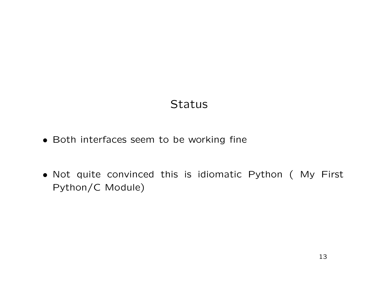### **Status**

- Both interfaces seem to be working fine
- Not quite convinced this is idiomatic Python ( My First Python/C Module)